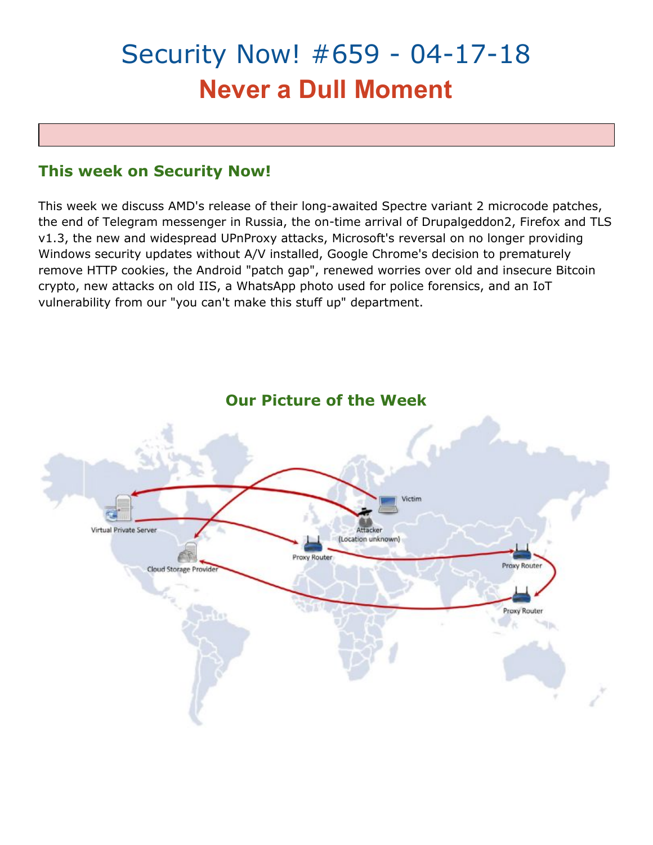# Security Now! #659 - 04-17-18 **Never a Dull Moment**

# **This week on Security Now!**

This week we discuss AMD's release of their long-awaited Spectre variant 2 microcode patches, the end of Telegram messenger in Russia, the on-time arrival of Drupalgeddon2, Firefox and TLS v1.3, the new and widespread UPnProxy attacks, Microsoft's reversal on no longer providing Windows security updates without A/V installed, Google Chrome's decision to prematurely remove HTTP cookies, the Android "patch gap", renewed worries over old and insecure Bitcoin crypto, new attacks on old IIS, a WhatsApp photo used for police forensics, and an IoT vulnerability from our "you can't make this stuff up" department.



# **Our Picture of the Week**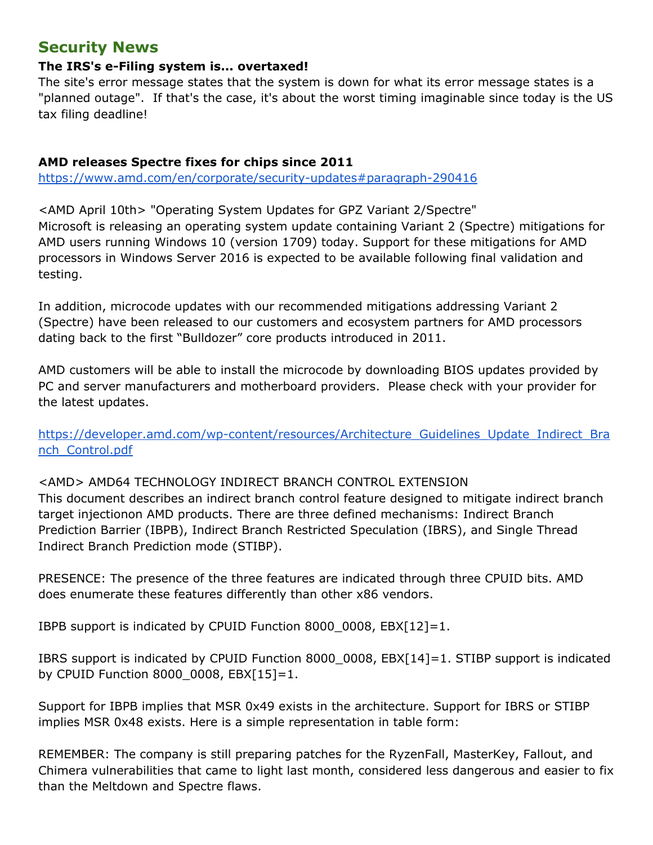# **Security News**

## **The IRS's e-Filing system is... overtaxed!**

The site's error message states that the system is down for what its error message states is a "planned outage". If that's the case, it's about the worst timing imaginable since today is the US tax filing deadline!

## **AMD releases Spectre fixes for chips since 2011**

<https://www.amd.com/en/corporate/security-updates#paragraph-290416>

<AMD April 10th> "Operating System Updates for GPZ Variant 2/Spectre" Microsoft is releasing an operating system update containing Variant 2 (Spectre) mitigations for AMD users running Windows 10 (version 1709) today. Support for these mitigations for AMD processors in Windows Server 2016 is expected to be available following final validation and testing.

In addition, microcode updates with our recommended mitigations addressing Variant 2 (Spectre) have been released to our customers and ecosystem partners for AMD processors dating back to the first "Bulldozer" core products introduced in 2011.

AMD customers will be able to install the microcode by downloading BIOS updates provided by PC and server manufacturers and motherboard providers. Please check with your provider for the latest updates.

[https://developer.amd.com/wp-content/resources/Architecture\\_Guidelines\\_Update\\_Indirect\\_Bra](https://developer.amd.com/wp-content/resources/Architecture_Guidelines_Update_Indirect_Branch_Control.pdf) nch Control.pdf

# <AMD> AMD64 TECHNOLOGY INDIRECT BRANCH CONTROL EXTENSION

This document describes an indirect branch control feature designed to mitigate indirect branch target injectionon AMD products. There are three defined mechanisms: Indirect Branch Prediction Barrier (IBPB), Indirect Branch Restricted Speculation (IBRS), and Single Thread Indirect Branch Prediction mode (STIBP).

PRESENCE: The presence of the three features are indicated through three CPUID bits. AMD does enumerate these features differently than other x86 vendors.

IBPB support is indicated by CPUID Function 8000\_0008, EBX[12]=1.

IBRS support is indicated by CPUID Function 8000\_0008, EBX[14]=1. STIBP support is indicated by CPUID Function 8000\_0008, EBX[15]=1.

Support for IBPB implies that MSR 0x49 exists in the architecture. Support for IBRS or STIBP implies MSR 0x48 exists. Here is a simple representation in table form:

REMEMBER: The company is still preparing patches for the RyzenFall, MasterKey, Fallout, and Chimera vulnerabilities that came to light last month, considered less dangerous and easier to fix than the Meltdown and Spectre flaws.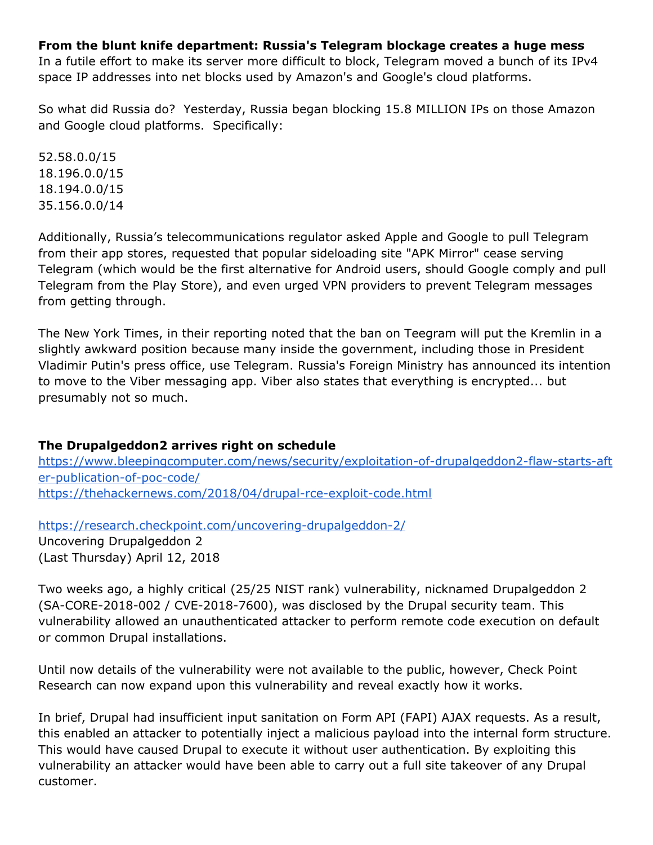#### **From the blunt knife department: Russia's Telegram blockage creates a huge mess**

In a futile effort to make its server more difficult to block, Telegram moved a bunch of its IPv4 space IP addresses into net blocks used by Amazon's and Google's cloud platforms.

So what did Russia do? Yesterday, Russia began blocking 15.8 MILLION IPs on those Amazon and Google cloud platforms. Specifically:

52.58.0.0/15 18.196.0.0/15 18.194.0.0/15 35.156.0.0/14

Additionally, Russia's telecommunications regulator asked Apple and Google to pull Telegram from their app stores, requested that popular sideloading site "APK Mirror" cease serving Telegram (which would be the first alternative for Android users, should Google comply and pull Telegram from the Play Store), and even urged VPN providers to prevent Telegram messages from getting through.

The New York Times, in their reporting noted that the ban on Teegram will put the Kremlin in a slightly awkward position because many inside the government, including those in President Vladimir Putin's press office, use Telegram. Russia's Foreign Ministry has announced its intention to move to the Viber messaging app. Viber also states that everything is encrypted... but presumably not so much.

#### **The Drupalgeddon2 arrives right on schedule**

[https://www.bleepingcomputer.com/news/security/exploitation-of-drupalgeddon2-flaw-starts-aft](https://www.bleepingcomputer.com/news/security/exploitation-of-drupalgeddon2-flaw-starts-after-publication-of-poc-code/) [er-publication-of-poc-code/](https://www.bleepingcomputer.com/news/security/exploitation-of-drupalgeddon2-flaw-starts-after-publication-of-poc-code/) <https://thehackernews.com/2018/04/drupal-rce-exploit-code.html>

<https://research.checkpoint.com/uncovering-drupalgeddon-2/> Uncovering Drupalgeddon 2 (Last Thursday) April 12, 2018

Two weeks ago, a highly critical (25/25 NIST rank) vulnerability, nicknamed Drupalgeddon 2 (SA-CORE-2018-002 / CVE-2018-7600), was disclosed by the Drupal security team. This vulnerability allowed an unauthenticated attacker to perform remote code execution on default or common Drupal installations.

Until now details of the vulnerability were not available to the public, however, Check Point Research can now expand upon this vulnerability and reveal exactly how it works.

In brief, Drupal had insufficient input sanitation on Form API (FAPI) AJAX requests. As a result, this enabled an attacker to potentially inject a malicious payload into the internal form structure. This would have caused Drupal to execute it without user authentication. By exploiting this vulnerability an attacker would have been able to carry out a full site takeover of any Drupal customer.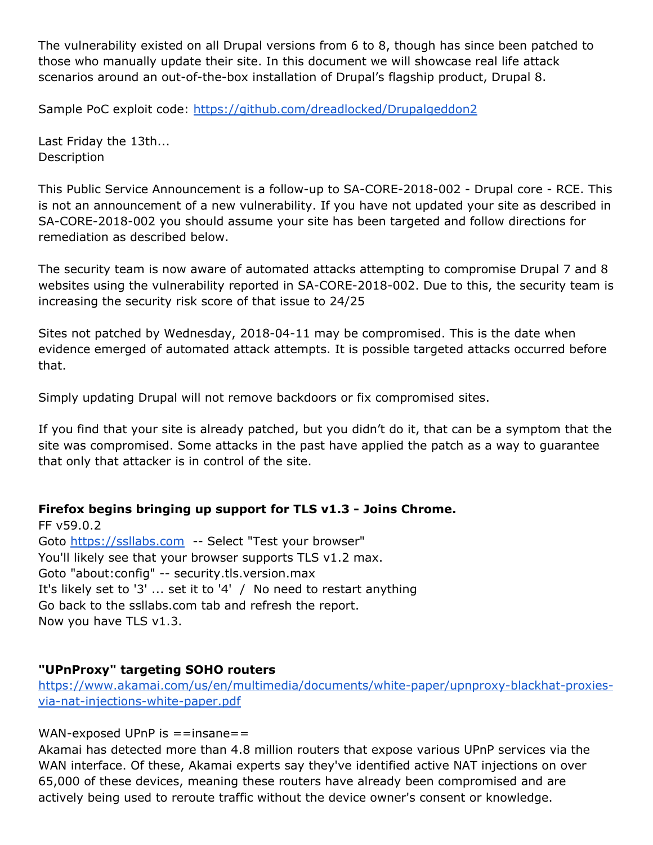The vulnerability existed on all Drupal versions from 6 to 8, though has since been patched to those who manually update their site. In this document we will showcase real life attack scenarios around an out-of-the-box installation of Drupal's flagship product, Drupal 8.

Sample PoC exploit code: <https://github.com/dreadlocked/Drupalgeddon2>

Last Friday the 13th... Description

This Public Service Announcement is a follow-up to SA-CORE-2018-002 - Drupal core - RCE. This is not an announcement of a new vulnerability. If you have not updated your site as described in SA-CORE-2018-002 you should assume your site has been targeted and follow directions for remediation as described below.

The security team is now aware of automated attacks attempting to compromise Drupal 7 and 8 websites using the vulnerability reported in SA-CORE-2018-002. Due to this, the security team is increasing the security risk score of that issue to 24/25

Sites not patched by Wednesday, 2018-04-11 may be compromised. This is the date when evidence emerged of automated attack attempts. It is possible targeted attacks occurred before that.

Simply updating Drupal will not remove backdoors or fix compromised sites.

If you find that your site is already patched, but you didn't do it, that can be a symptom that the site was compromised. Some attacks in the past have applied the patch as a way to guarantee that only that attacker is in control of the site.

# **Firefox begins bringing up support for TLS v1.3 - Joins Chrome.**

FF v59.0.2 Goto [https://ssllabs.com](https://ssllabs.com/) -- Select "Test your browser" You'll likely see that your browser supports TLS v1.2 max. Goto "about:config" -- security.tls.version.max It's likely set to '3' ... set it to '4' / No need to restart anything Go back to the ssllabs.com tab and refresh the report. Now you have TLS v1.3.

# **"UPnProxy" targeting SOHO routers**

[https://www.akamai.com/us/en/multimedia/documents/white-paper/upnproxy-blackhat-proxies](https://www.akamai.com/us/en/multimedia/documents/white-paper/upnproxy-blackhat-proxies-via-nat-injections-white-paper.pdf)[via-nat-injections-white-paper.pdf](https://www.akamai.com/us/en/multimedia/documents/white-paper/upnproxy-blackhat-proxies-via-nat-injections-white-paper.pdf)

#### WAN-exposed UPnP is  $=$ =insane==

Akamai has detected more than 4.8 million routers that expose various UPnP services via the WAN interface. Of these, Akamai experts say they've identified active NAT injections on over 65,000 of these devices, meaning these routers have already been compromised and are actively being used to reroute traffic without the device owner's consent or knowledge.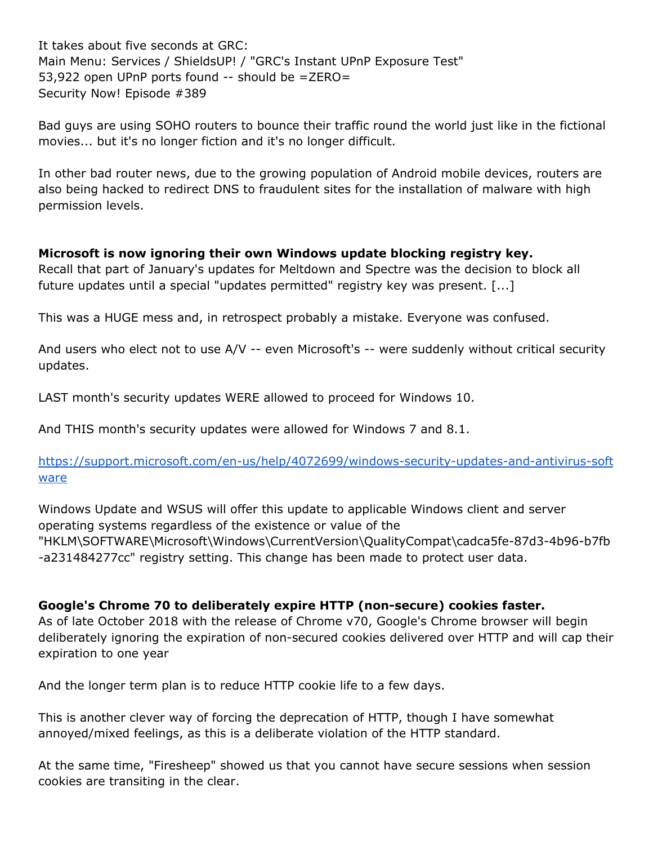It takes about five seconds at GRC: Main Menu: Services / ShieldsUP! / "GRC's Instant UPnP Exposure Test" 53,922 open UPnP ports found -- should be =ZERO= Security Now! Episode #389

Bad guys are using SOHO routers to bounce their traffic round the world just like in the fictional movies... but it's no longer fiction and it's no longer difficult.

In other bad router news, due to the growing population of Android mobile devices, routers are also being hacked to redirect DNS to fraudulent sites for the installation of malware with high permission levels.

## **Microsoft is now ignoring their own Windows update blocking registry key.**

Recall that part of January's updates for Meltdown and Spectre was the decision to block all future updates until a special "updates permitted" registry key was present. [...]

This was a HUGE mess and, in retrospect probably a mistake. Everyone was confused.

And users who elect not to use A/V -- even Microsoft's -- were suddenly without critical security updates.

LAST month's security updates WERE allowed to proceed for Windows 10.

And THIS month's security updates were allowed for Windows 7 and 8.1.

[https://support.microsoft.com/en-us/help/4072699/windows-security-updates-and-antivirus-soft](https://support.microsoft.com/en-us/help/4072699/windows-security-updates-and-antivirus-software) [ware](https://support.microsoft.com/en-us/help/4072699/windows-security-updates-and-antivirus-software)

Windows Update and WSUS will offer this update to applicable Windows client and server operating systems regardless of the existence or value of the "HKLM\SOFTWARE\Microsoft\Windows\CurrentVersion\QualityCompat\cadca5fe-87d3-4b96-b7fb -a231484277cc" registry setting. This change has been made to protect user data.

# **Google's Chrome 70 to deliberately expire HTTP (non-secure) cookies faster.**

As of late October 2018 with the release of Chrome v70, Google's Chrome browser will begin deliberately ignoring the expiration of non-secured cookies delivered over HTTP and will cap their expiration to one year

And the longer term plan is to reduce HTTP cookie life to a few days.

This is another clever way of forcing the deprecation of HTTP, though I have somewhat annoyed/mixed feelings, as this is a deliberate violation of the HTTP standard.

At the same time, "Firesheep" showed us that you cannot have secure sessions when session cookies are transiting in the clear.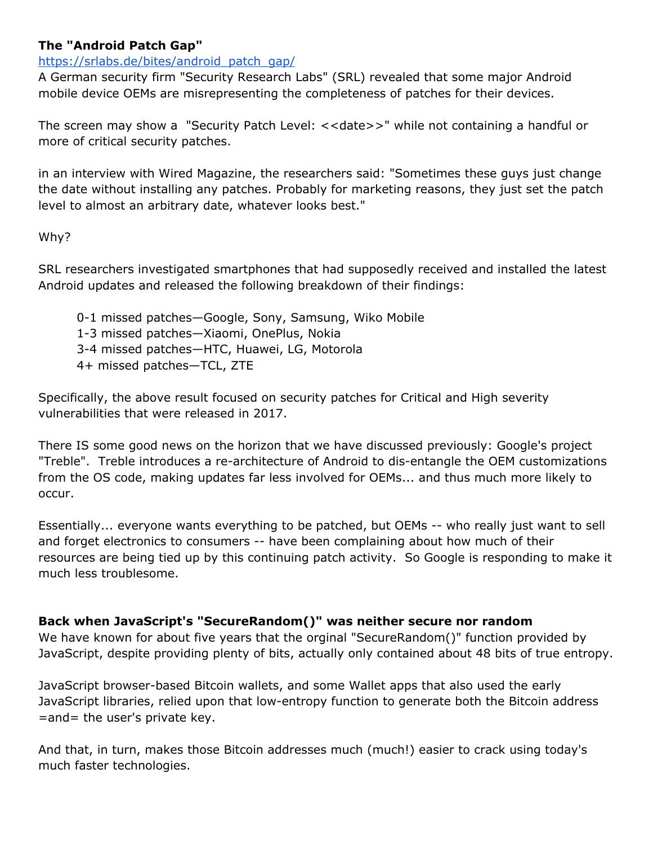## **The "Android Patch Gap"**

#### [https://srlabs.de/bites/android\\_patch\\_gap/](https://srlabs.de/bites/android_patch_gap/)

A German security firm "Security Research Labs" (SRL) revealed that some major Android mobile device OEMs are misrepresenting the completeness of patches for their devices.

The screen may show a "Security Patch Level: <<date>>" while not containing a handful or more of critical security patches.

in an interview with Wired Magazine, the researchers said: "Sometimes these guys just change the date without installing any patches. Probably for marketing reasons, they just set the patch level to almost an arbitrary date, whatever looks best."

#### Why?

SRL researchers investigated smartphones that had supposedly received and installed the latest Android updates and released the following breakdown of their findings:

- 0-1 missed patches—Google, Sony, Samsung, Wiko Mobile
- 1-3 missed patches—Xiaomi, OnePlus, Nokia
- 3-4 missed patches—HTC, Huawei, LG, Motorola
- 4+ missed patches—TCL, ZTE

Specifically, the above result focused on security patches for Critical and High severity vulnerabilities that were released in 2017.

There IS some good news on the horizon that we have discussed previously: Google's project "Treble". Treble introduces a re-architecture of Android to dis-entangle the OEM customizations from the OS code, making updates far less involved for OEMs... and thus much more likely to occur.

Essentially... everyone wants everything to be patched, but OEMs -- who really just want to sell and forget electronics to consumers -- have been complaining about how much of their resources are being tied up by this continuing patch activity. So Google is responding to make it much less troublesome.

#### **Back when JavaScript's "SecureRandom()" was neither secure nor random**

We have known for about five years that the orginal "SecureRandom()" function provided by JavaScript, despite providing plenty of bits, actually only contained about 48 bits of true entropy.

JavaScript browser-based Bitcoin wallets, and some Wallet apps that also used the early JavaScript libraries, relied upon that low-entropy function to generate both the Bitcoin address =and= the user's private key.

And that, in turn, makes those Bitcoin addresses much (much!) easier to crack using today's much faster technologies.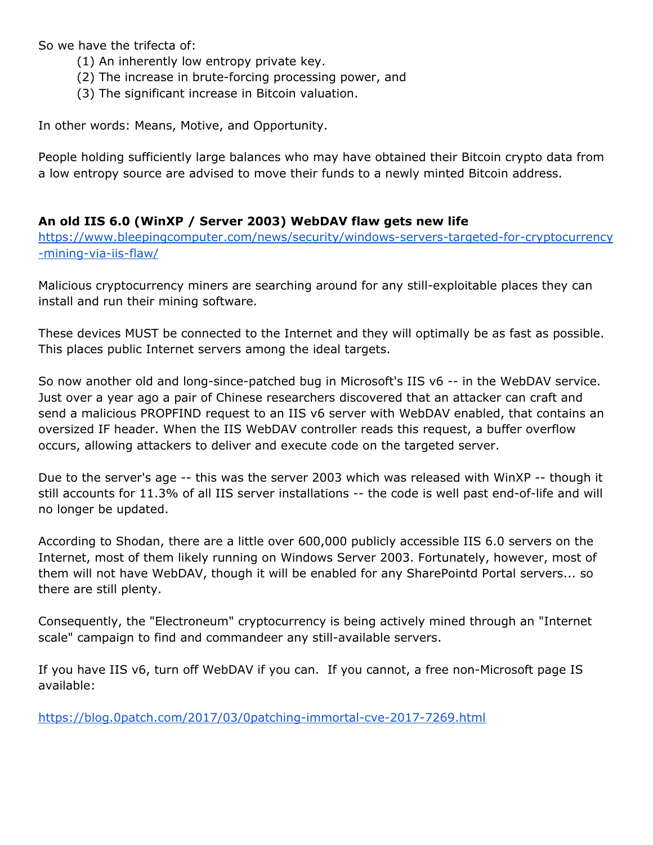So we have the trifecta of:

- (1) An inherently low entropy private key.
- (2) The increase in brute-forcing processing power, and
- (3) The significant increase in Bitcoin valuation.

In other words: Means, Motive, and Opportunity.

People holding sufficiently large balances who may have obtained their Bitcoin crypto data from a low entropy source are advised to move their funds to a newly minted Bitcoin address.

## **An old IIS 6.0 (WinXP / Server 2003) WebDAV flaw gets new life**

[https://www.bleepingcomputer.com/news/security/windows-servers-targeted-for-cryptocurrency](https://www.bleepingcomputer.com/news/security/windows-servers-targeted-for-cryptocurrency-mining-via-iis-flaw/) [-mining-via-iis-flaw/](https://www.bleepingcomputer.com/news/security/windows-servers-targeted-for-cryptocurrency-mining-via-iis-flaw/)

Malicious cryptocurrency miners are searching around for any still-exploitable places they can install and run their mining software.

These devices MUST be connected to the Internet and they will optimally be as fast as possible. This places public Internet servers among the ideal targets.

So now another old and long-since-patched bug in Microsoft's IIS v6 -- in the WebDAV service. Just over a year ago a pair of Chinese researchers discovered that an attacker can craft and send a malicious PROPFIND request to an IIS v6 server with WebDAV enabled, that contains an oversized IF header. When the IIS WebDAV controller reads this request, a buffer overflow occurs, allowing attackers to deliver and execute code on the targeted server.

Due to the server's age -- this was the server 2003 which was released with WinXP -- though it still accounts for 11.3% of all IIS server installations -- the code is well past end-of-life and will no longer be updated.

According to Shodan, there are a little over 600,000 publicly accessible IIS 6.0 servers on the Internet, most of them likely running on Windows Server 2003. Fortunately, however, most of them will not have WebDAV, though it will be enabled for any SharePointd Portal servers... so there are still plenty.

Consequently, the "Electroneum" cryptocurrency is being actively mined through an "Internet scale" campaign to find and commandeer any still-available servers.

If you have IIS v6, turn off WebDAV if you can. If you cannot, a free non-Microsoft page IS available:

<https://blog.0patch.com/2017/03/0patching-immortal-cve-2017-7269.html>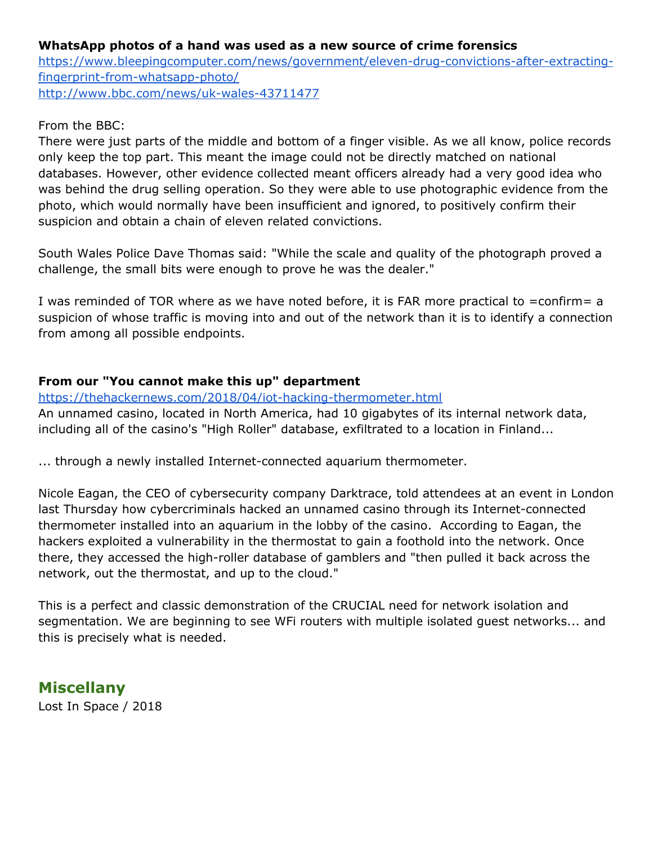### **WhatsApp photos of a hand was used as a new source of crime forensics**

[https://www.bleepingcomputer.com/news/government/eleven-drug-convictions-after-extracting](https://www.bleepingcomputer.com/news/government/eleven-drug-convictions-after-extracting-fingerprint-from-whatsapp-photo/)[fingerprint-from-whatsapp-photo/](https://www.bleepingcomputer.com/news/government/eleven-drug-convictions-after-extracting-fingerprint-from-whatsapp-photo/) <http://www.bbc.com/news/uk-wales-43711477>

#### From the BBC:

There were just parts of the middle and bottom of a finger visible. As we all know, police records only keep the top part. This meant the image could not be directly matched on national databases. However, other evidence collected meant officers already had a very good idea who was behind the drug selling operation. So they were able to use photographic evidence from the photo, which would normally have been insufficient and ignored, to positively confirm their suspicion and obtain a chain of eleven related convictions.

South Wales Police Dave Thomas said: "While the scale and quality of the photograph proved a challenge, the small bits were enough to prove he was the dealer."

I was reminded of TOR where as we have noted before, it is FAR more practical to =confirm= a suspicion of whose traffic is moving into and out of the network than it is to identify a connection from among all possible endpoints.

# **From our "You cannot make this up" department**

#### <https://thehackernews.com/2018/04/iot-hacking-thermometer.html>

An unnamed casino, located in North America, had 10 gigabytes of its internal network data, including all of the casino's "High Roller" database, exfiltrated to a location in Finland...

... through a newly installed Internet-connected aquarium thermometer.

Nicole Eagan, the CEO of cybersecurity company Darktrace, told attendees at an event in London last Thursday how cybercriminals hacked an unnamed casino through its Internet-connected thermometer installed into an aquarium in the lobby of the casino. According to Eagan, the hackers exploited a vulnerability in the thermostat to gain a foothold into the network. Once there, they accessed the high-roller database of gamblers and "then pulled it back across the network, out the thermostat, and up to the cloud."

This is a perfect and classic demonstration of the CRUCIAL need for network isolation and segmentation. We are beginning to see WFi routers with multiple isolated guest networks... and this is precisely what is needed.

# **Miscellany**

Lost In Space / 2018